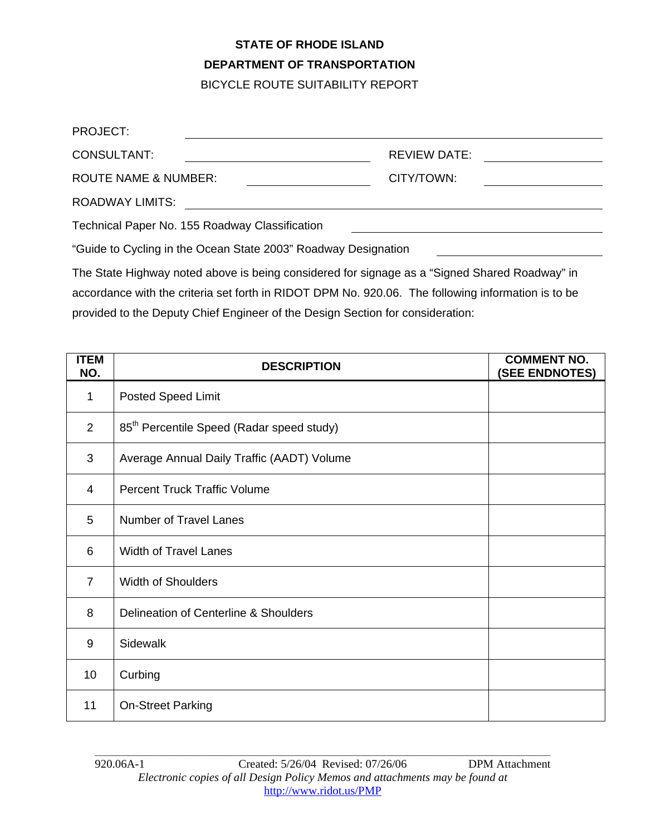## **STATE OF RHODE ISLAND DEPARTMENT OF TRANSPORTATION**

BICYCLE ROUTE SUITABILITY REPORT

| PROJECT:                                                                                               |                     |  |
|--------------------------------------------------------------------------------------------------------|---------------------|--|
| CONSULTANT:                                                                                            | <b>REVIEW DATE:</b> |  |
| <b>ROUTE NAME &amp; NUMBER:</b>                                                                        | CITY/TOWN:          |  |
| <b>ROADWAY LIMITS:</b>                                                                                 |                     |  |
| Technical Paper No. 155 Roadway Classification                                                         |                     |  |
| "Guide to Cycling in the Ocean State 2003" Roadway Designation                                         |                     |  |
| The Otets Highway peterlichers in higher considered for circums as a fiOing of Ohened Depression 11 in |                     |  |

The State Highway noted above is being considered for signage as a "Signed Shared Roadway" in accordance with the criteria set forth in RIDOT DPM No. 920.06. The following information is to be provided to the Deputy Chief Engineer of the Design Section for consideration:

| <b>ITEM</b><br>NO. | <b>DESCRIPTION</b>                                    | <b>COMMENT NO.</b><br>(SEE ENDNOTES) |
|--------------------|-------------------------------------------------------|--------------------------------------|
| 1                  | <b>Posted Speed Limit</b>                             |                                      |
| $\overline{2}$     | 85 <sup>th</sup> Percentile Speed (Radar speed study) |                                      |
| 3                  | Average Annual Daily Traffic (AADT) Volume            |                                      |
| $\overline{4}$     | <b>Percent Truck Traffic Volume</b>                   |                                      |
| 5                  | <b>Number of Travel Lanes</b>                         |                                      |
| 6                  | <b>Width of Travel Lanes</b>                          |                                      |
| $\overline{7}$     | <b>Width of Shoulders</b>                             |                                      |
| 8                  | Delineation of Centerline & Shoulders                 |                                      |
| 9                  | <b>Sidewalk</b>                                       |                                      |
| 10                 | Curbing                                               |                                      |
| 11                 | <b>On-Street Parking</b>                              |                                      |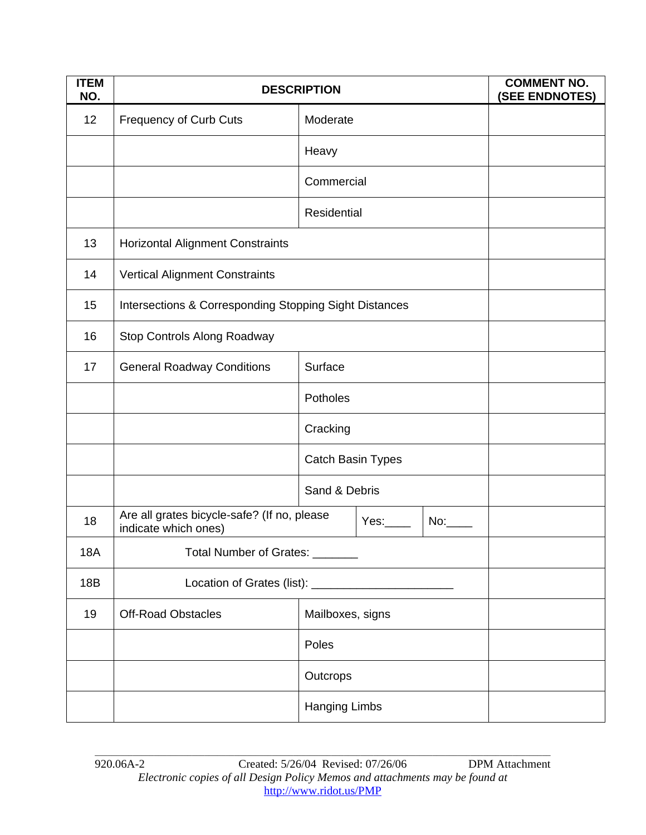| <b>ITEM</b><br>NO. | <b>DESCRIPTION</b>                                                  |                      | <b>COMMENT NO.</b><br>(SEE ENDNOTES) |
|--------------------|---------------------------------------------------------------------|----------------------|--------------------------------------|
| 12                 | <b>Frequency of Curb Cuts</b>                                       | Moderate             |                                      |
|                    |                                                                     | Heavy                |                                      |
|                    |                                                                     | Commercial           |                                      |
|                    |                                                                     | Residential          |                                      |
| 13                 | <b>Horizontal Alignment Constraints</b>                             |                      |                                      |
| 14                 | <b>Vertical Alignment Constraints</b>                               |                      |                                      |
| 15                 | Intersections & Corresponding Stopping Sight Distances              |                      |                                      |
| 16                 | Stop Controls Along Roadway                                         |                      |                                      |
| 17                 | <b>General Roadway Conditions</b>                                   | Surface              |                                      |
|                    |                                                                     | Potholes             |                                      |
|                    |                                                                     | Cracking             |                                      |
|                    |                                                                     | Catch Basin Types    |                                      |
|                    |                                                                     | Sand & Debris        |                                      |
| 18                 | Are all grates bicycle-safe? (If no, please<br>indicate which ones) | Yes.                 |                                      |
| <b>18A</b>         | Total Number of Grates: _______                                     |                      |                                      |
| 18B                |                                                                     |                      |                                      |
| 19                 | <b>Off-Road Obstacles</b>                                           | Mailboxes, signs     |                                      |
|                    |                                                                     | Poles                |                                      |
|                    |                                                                     | Outcrops             |                                      |
|                    |                                                                     | <b>Hanging Limbs</b> |                                      |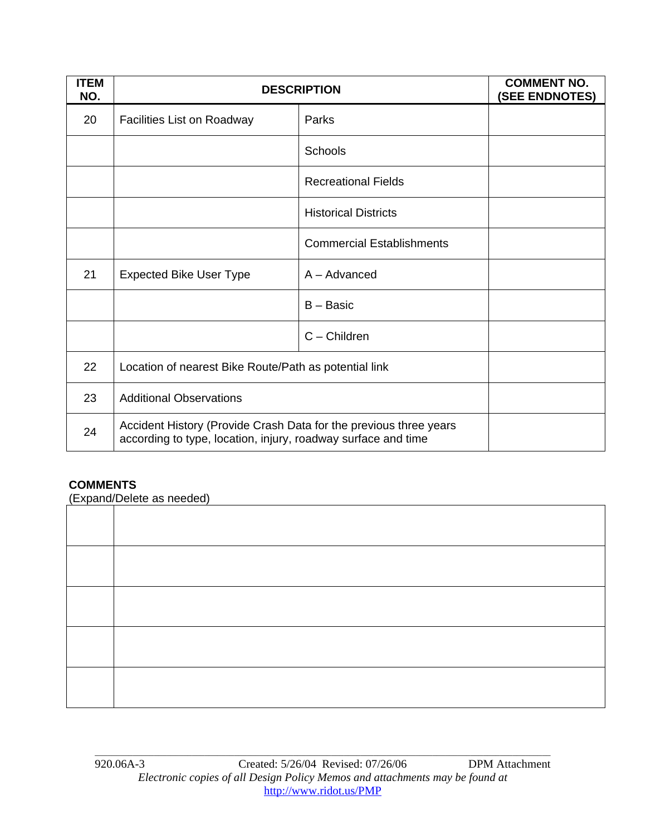| <b>ITEM</b><br>NO. | <b>DESCRIPTION</b>                                                                                                                 |                                  | <b>COMMENT NO.</b><br>(SEE ENDNOTES) |
|--------------------|------------------------------------------------------------------------------------------------------------------------------------|----------------------------------|--------------------------------------|
| 20                 | <b>Facilities List on Roadway</b>                                                                                                  | Parks                            |                                      |
|                    |                                                                                                                                    | <b>Schools</b>                   |                                      |
|                    |                                                                                                                                    | <b>Recreational Fields</b>       |                                      |
|                    |                                                                                                                                    | <b>Historical Districts</b>      |                                      |
|                    |                                                                                                                                    | <b>Commercial Establishments</b> |                                      |
| 21                 | <b>Expected Bike User Type</b>                                                                                                     | $A - Advanced$                   |                                      |
|                    |                                                                                                                                    | B - Basic                        |                                      |
|                    |                                                                                                                                    | $C -$ Children                   |                                      |
| 22                 | Location of nearest Bike Route/Path as potential link                                                                              |                                  |                                      |
| 23                 | <b>Additional Observations</b>                                                                                                     |                                  |                                      |
| 24                 | Accident History (Provide Crash Data for the previous three years<br>according to type, location, injury, roadway surface and time |                                  |                                      |

## **COMMENTS**

(Expand/Delete as needed)